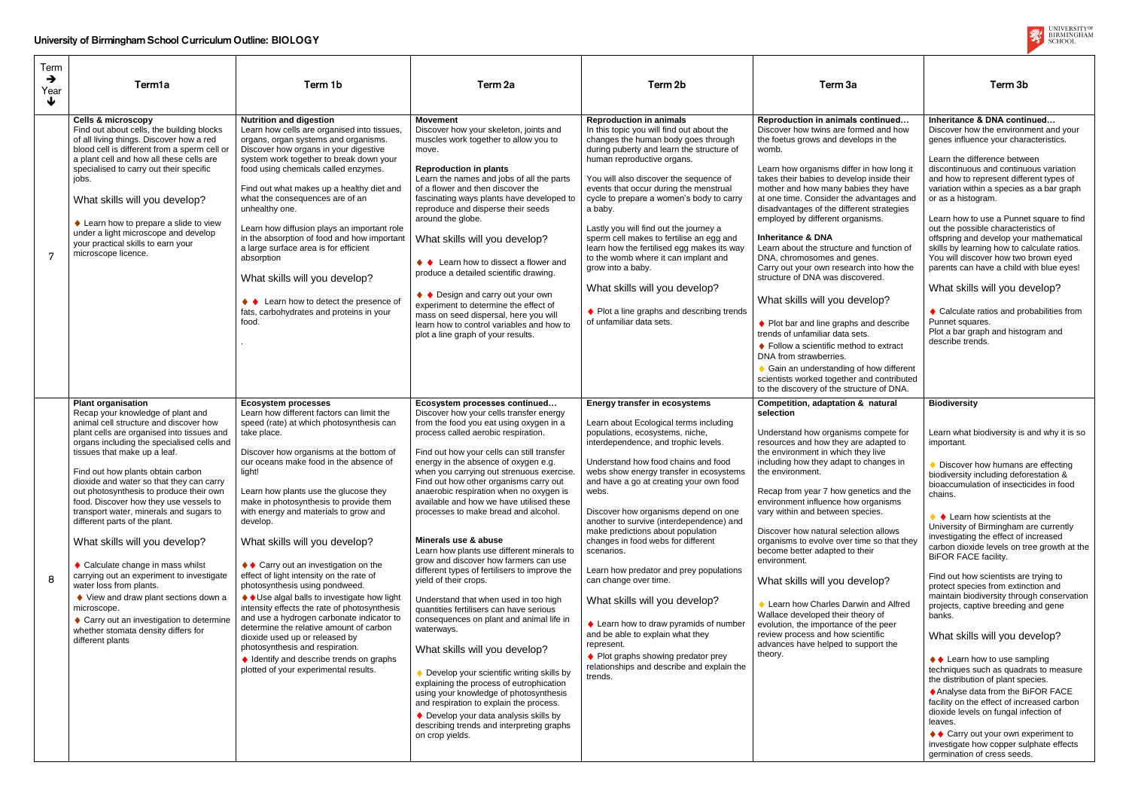| Term                  |                                                                                                                                                                                                                                                                                                                                                                                                                                                                                                                                                                                                                                                                                                                                                                                                      |                                                                                                                                                                                                                                                                                                                                                                                                                                                                                                                                                                                                                                                                                                                                                                                                                                                                                 |                                                                                                                                                                                                                                                                                                                                                                                                                                                                                                                                                                                                                                                                                                                                                                                                                                                                                                                                                                                                                                                                                                                                          |                                                                                                                                                                                                                                                                                                                                                                                                                                                                                                                                                                                                                                                                                                                                                                               |                                                                                                                                                                                                                                                                                                                                                                                                                                                                                                                                                                                                                                                                                                                                                                                                                                                                                                                    |                                                                                                                                                                                                                                                                                                                                                                                                                                                                                                                                                                                                                                                                                                                                                                                                                                                                                                                                                                                                                       |
|-----------------------|------------------------------------------------------------------------------------------------------------------------------------------------------------------------------------------------------------------------------------------------------------------------------------------------------------------------------------------------------------------------------------------------------------------------------------------------------------------------------------------------------------------------------------------------------------------------------------------------------------------------------------------------------------------------------------------------------------------------------------------------------------------------------------------------------|---------------------------------------------------------------------------------------------------------------------------------------------------------------------------------------------------------------------------------------------------------------------------------------------------------------------------------------------------------------------------------------------------------------------------------------------------------------------------------------------------------------------------------------------------------------------------------------------------------------------------------------------------------------------------------------------------------------------------------------------------------------------------------------------------------------------------------------------------------------------------------|------------------------------------------------------------------------------------------------------------------------------------------------------------------------------------------------------------------------------------------------------------------------------------------------------------------------------------------------------------------------------------------------------------------------------------------------------------------------------------------------------------------------------------------------------------------------------------------------------------------------------------------------------------------------------------------------------------------------------------------------------------------------------------------------------------------------------------------------------------------------------------------------------------------------------------------------------------------------------------------------------------------------------------------------------------------------------------------------------------------------------------------|-------------------------------------------------------------------------------------------------------------------------------------------------------------------------------------------------------------------------------------------------------------------------------------------------------------------------------------------------------------------------------------------------------------------------------------------------------------------------------------------------------------------------------------------------------------------------------------------------------------------------------------------------------------------------------------------------------------------------------------------------------------------------------|--------------------------------------------------------------------------------------------------------------------------------------------------------------------------------------------------------------------------------------------------------------------------------------------------------------------------------------------------------------------------------------------------------------------------------------------------------------------------------------------------------------------------------------------------------------------------------------------------------------------------------------------------------------------------------------------------------------------------------------------------------------------------------------------------------------------------------------------------------------------------------------------------------------------|-----------------------------------------------------------------------------------------------------------------------------------------------------------------------------------------------------------------------------------------------------------------------------------------------------------------------------------------------------------------------------------------------------------------------------------------------------------------------------------------------------------------------------------------------------------------------------------------------------------------------------------------------------------------------------------------------------------------------------------------------------------------------------------------------------------------------------------------------------------------------------------------------------------------------------------------------------------------------------------------------------------------------|
| $\rightarrow$<br>Year | Term1a                                                                                                                                                                                                                                                                                                                                                                                                                                                                                                                                                                                                                                                                                                                                                                                               | Term 1b                                                                                                                                                                                                                                                                                                                                                                                                                                                                                                                                                                                                                                                                                                                                                                                                                                                                         | Term <sub>2a</sub>                                                                                                                                                                                                                                                                                                                                                                                                                                                                                                                                                                                                                                                                                                                                                                                                                                                                                                                                                                                                                                                                                                                       | Term 2b                                                                                                                                                                                                                                                                                                                                                                                                                                                                                                                                                                                                                                                                                                                                                                       | Term 3a                                                                                                                                                                                                                                                                                                                                                                                                                                                                                                                                                                                                                                                                                                                                                                                                                                                                                                            | Term 3b                                                                                                                                                                                                                                                                                                                                                                                                                                                                                                                                                                                                                                                                                                                                                                                                                                                                                                                                                                                                               |
| ↓                     |                                                                                                                                                                                                                                                                                                                                                                                                                                                                                                                                                                                                                                                                                                                                                                                                      |                                                                                                                                                                                                                                                                                                                                                                                                                                                                                                                                                                                                                                                                                                                                                                                                                                                                                 |                                                                                                                                                                                                                                                                                                                                                                                                                                                                                                                                                                                                                                                                                                                                                                                                                                                                                                                                                                                                                                                                                                                                          |                                                                                                                                                                                                                                                                                                                                                                                                                                                                                                                                                                                                                                                                                                                                                                               |                                                                                                                                                                                                                                                                                                                                                                                                                                                                                                                                                                                                                                                                                                                                                                                                                                                                                                                    |                                                                                                                                                                                                                                                                                                                                                                                                                                                                                                                                                                                                                                                                                                                                                                                                                                                                                                                                                                                                                       |
| -7                    | <b>Cells &amp; microscopy</b><br>Find out about cells, the building blocks<br>of all living things. Discover how a red<br>blood cell is different from a sperm cell or<br>a plant cell and how all these cells are<br>specialised to carry out their specific<br>iobs.<br>What skills will you develop?<br>♦ Learn how to prepare a slide to view<br>under a light microscope and develop<br>your practical skills to earn your<br>microscope licence.                                                                                                                                                                                                                                                                                                                                               | <b>Nutrition and digestion</b><br>Learn how cells are organised into tissues,<br>organs, organ systems and organisms.<br>Discover how organs in your digestive<br>system work together to break down your<br>food using chemicals called enzymes.<br>Find out what makes up a healthy diet and<br>what the consequences are of an<br>unhealthy one.<br>Learn how diffusion plays an important role<br>in the absorption of food and how important<br>a large surface area is for efficient<br>absorption<br>What skills will you develop?<br>♦ Learn how to detect the presence of<br>fats, carbohydrates and proteins in your<br>food.                                                                                                                                                                                                                                         | <b>Movement</b><br>Discover how your skeleton, joints and<br>muscles work together to allow you to<br>move.<br><b>Reproduction in plants</b><br>Learn the names and jobs of all the parts<br>of a flower and then discover the<br>fascinating ways plants have developed to<br>reproduce and disperse their seeds<br>around the globe.<br>What skills will you develop?<br>♦ Learn how to dissect a flower and<br>produce a detailed scientific drawing.<br>♦ Design and carry out your own<br>experiment to determine the effect of<br>mass on seed dispersal, here you will<br>learn how to control variables and how to<br>plot a line graph of your results.                                                                                                                                                                                                                                                                                                                                                                                                                                                                         | <b>Reproduction in animals</b><br>In this topic you will find out about the<br>changes the human body goes through<br>during puberty and learn the structure of<br>human reproductive organs.<br>You will also discover the sequence of<br>events that occur during the menstrual<br>cycle to prepare a women's body to carry<br>a baby.<br>Lastly you will find out the journey a<br>sperm cell makes to fertilise an egg and<br>learn how the fertilised egg makes its way<br>to the womb where it can implant and<br>grow into a baby.<br>What skills will you develop?<br>♦ Plot a line graphs and describing trends<br>of unfamiliar data sets.                                                                                                                          | Reproduction in animals continued<br>Discover how twins are formed and how<br>the foetus grows and develops in the<br>womb.<br>Learn how organisms differ in how long it<br>takes their babies to develop inside their<br>mother and how many babies they have<br>at one time. Consider the advantages and<br>disadvantages of the different strategies<br>employed by different organisms.<br><b>Inheritance &amp; DNA</b><br>Learn about the structure and function of<br>DNA, chromosomes and genes.<br>Carry out your own research into how the<br>structure of DNA was discovered.<br>What skills will you develop?<br>♦ Plot bar and line graphs and describe<br>trends of unfamiliar data sets.<br>♦ Follow a scientific method to extract<br>DNA from strawberries.<br>♦ Gain an understanding of how different<br>scientists worked together and contributed<br>to the discovery of the structure of DNA. | Inheritance & DNA continued<br>Discover how the environment and your<br>genes influence your characteristics.<br>Learn the difference between<br>discontinuous and continuous variation<br>and how to represent different types of<br>variation within a species as a bar graph<br>or as a histogram.<br>Learn how to use a Punnet square to find<br>out the possible characteristics of<br>offspring and develop your mathematical<br>skills by learning how to calculate ratios.<br>You will discover how two brown eyed<br>parents can have a child with blue eyes!<br>What skills will you develop?<br>♦ Calculate ratios and probabilities from<br>Punnet squares.<br>Plot a bar graph and histogram and<br>describe trends.                                                                                                                                                                                                                                                                                     |
| 8                     | <b>Plant organisation</b><br>Recap your knowledge of plant and<br>animal cell structure and discover how<br>plant cells are organised into tissues and<br>organs including the specialised cells and<br>tissues that make up a leaf.<br>Find out how plants obtain carbon<br>dioxide and water so that they can carry<br>out photosynthesis to produce their own<br>food. Discover how they use vessels to<br>transport water, minerals and sugars to<br>different parts of the plant.<br>What skills will you develop?<br>♦ Calculate change in mass whilst<br>carrying out an experiment to investigate<br>water loss from plants.<br>♦ View and draw plant sections down a<br>microscope.<br>♦ Carry out an investigation to determine<br>whether stomata density differs for<br>different plants | <b>Ecosystem processes</b><br>Learn how different factors can limit the<br>speed (rate) at which photosynthesis can<br>take place.<br>Discover how organisms at the bottom of<br>our oceans make food in the absence of<br>light!<br>Learn how plants use the glucose they<br>make in photosynthesis to provide them<br>with energy and materials to grow and<br>develop.<br>What skills will you develop?<br>♦ Carry out an investigation on the<br>effect of light intensity on the rate of<br>photosynthesis using pondweed.<br>♦ Use algal balls to investigate how light<br>intensity effects the rate of photosynthesis<br>and use a hydrogen carbonate indicator to<br>determine the relative amount of carbon<br>dioxide used up or released by<br>photosynthesis and respiration.<br>♦ Identify and describe trends on graphs<br>plotted of your experimental results. | Ecosystem processes continued<br>Discover how your cells transfer energy<br>from the food you eat using oxygen in a<br>process called aerobic respiration.<br>Find out how your cells can still transfer<br>energy in the absence of oxygen e.g.<br>when you carrying out strenuous exercise.<br>Find out how other organisms carry out<br>anaerobic respiration when no oxygen is<br>available and how we have utilised these<br>processes to make bread and alcohol.<br>Minerals use & abuse<br>Learn how plants use different minerals to<br>grow and discover how farmers can use<br>different types of fertilisers to improve the<br>yield of their crops.<br>Understand that when used in too high<br>quantities fertilisers can have serious<br>consequences on plant and animal life in<br>waterways.<br>What skills will you develop?<br>◆ Develop your scientific writing skills by<br>explaining the process of eutrophication<br>using your knowledge of photosynthesis<br>and respiration to explain the process.<br>♦ Develop your data analysis skills by<br>describing trends and interpreting graphs<br>on crop yields. | <b>Energy transfer in ecosystems</b><br>Learn about Ecological terms including<br>populations, ecosystems, niche,<br>interdependence, and trophic levels.<br>Understand how food chains and food<br>webs show energy transfer in ecosystems<br>and have a go at creating your own food<br>webs.<br>Discover how organisms depend on one<br>another to survive (interdependence) and<br>make predictions about population<br>changes in food webs for different<br>scenarios.<br>Learn how predator and prey populations<br>can change over time.<br>What skills will you develop?<br>♦ Learn how to draw pyramids of number<br>and be able to explain what they<br>represent.<br>♦ Plot graphs showing predator prey<br>relationships and describe and explain the<br>trends. | Competition, adaptation & natural<br>selection<br>Understand how organisms compete for<br>resources and how they are adapted to<br>the environment in which they live<br>including how they adapt to changes in<br>the environment.<br>Recap from year 7 how genetics and the<br>environment influence how organisms<br>vary within and between species.<br>Discover how natural selection allows<br>organisms to evolve over time so that they<br>become better adapted to their<br>environment.<br>What skills will you develop?<br>Learn how Charles Darwin and Alfred<br>Wallace developed their theory of<br>evolution, the importance of the peer<br>review process and how scientific<br>advances have helped to support the<br>theory.                                                                                                                                                                     | <b>Biodiversity</b><br>Learn what biodiversity is and why it is so<br>important.<br>Discover how humans are effecting<br>biodiversity including deforestation &<br>bioaccumulation of insecticides in food<br>chains.<br>$\blacklozenge$ Learn how scientists at the<br>University of Birmingham are currently<br>investigating the effect of increased<br>carbon dioxide levels on tree growth at the<br>BiFOR FACE facility.<br>Find out how scientists are trying to<br>protect species from extinction and<br>maintain biodiversity through conservation<br>projects, captive breeding and gene<br>banks.<br>What skills will you develop?<br>♦ Learn how to use sampling<br>techniques such as quadrats to measure<br>the distribution of plant species.<br>♦ Analyse data from the BiFOR FACE<br>facility on the effect of increased carbon<br>dioxide levels on fungal infection of<br>leaves.<br>♦ Carry out your own experiment to<br>investigate how copper sulphate effects<br>germination of cress seeds. |

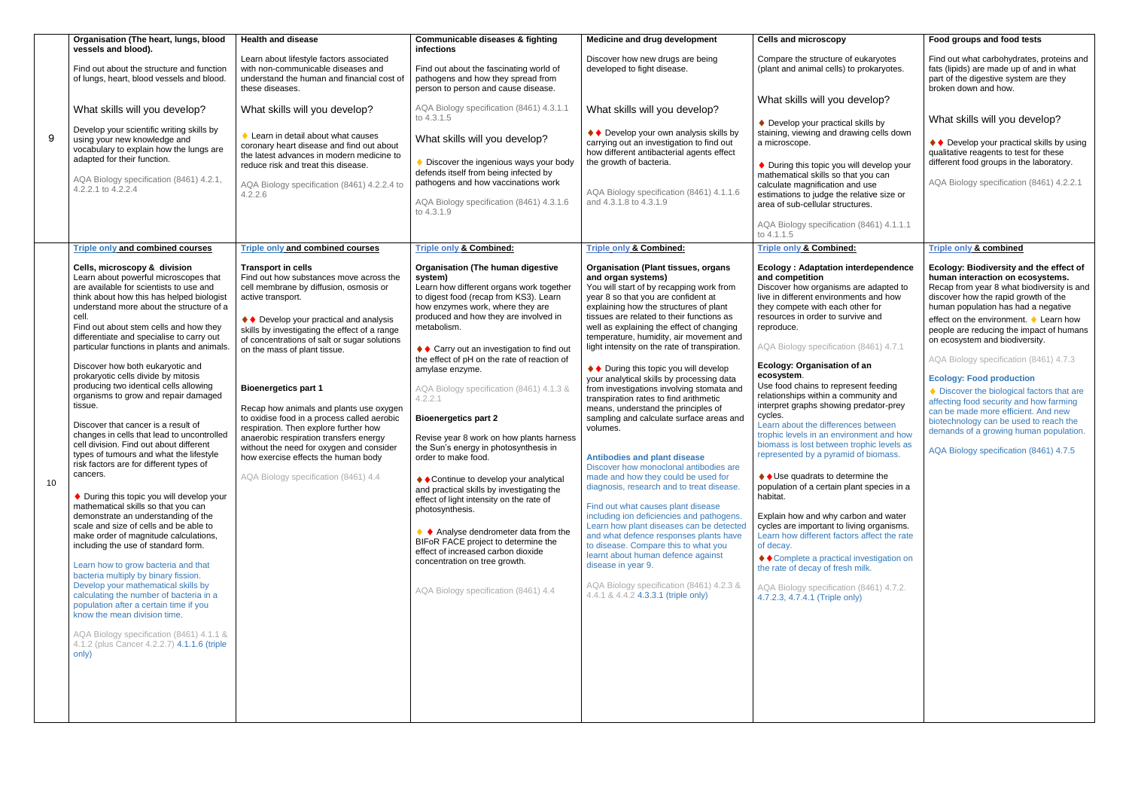|                                                                                                             | Food groups and food tests                                                                                                                                                                                                                          |  |  |  |
|-------------------------------------------------------------------------------------------------------------|-----------------------------------------------------------------------------------------------------------------------------------------------------------------------------------------------------------------------------------------------------|--|--|--|
| of eukaryotes<br>to prokaryotes.                                                                            | Find out what carbohydrates, proteins and<br>fats (lipids) are made up of and in what<br>part of the digestive system are they<br>broken down and how.                                                                                              |  |  |  |
| develop?                                                                                                    |                                                                                                                                                                                                                                                     |  |  |  |
| al skills by:<br>rawing cells down                                                                          | What skills will you develop?                                                                                                                                                                                                                       |  |  |  |
| will develop your<br>hat you can<br>and use<br>e relative size or<br>ıctures.                               | ◆ Develop your practical skills by using<br>qualitative reagents to test for these<br>different food groups in the laboratory.<br>AQA Biology specification (8461) 4.2.2.1                                                                          |  |  |  |
| on (8461) 4.1.1.1                                                                                           |                                                                                                                                                                                                                                                     |  |  |  |
| <u>ed:</u>                                                                                                  | <b>Triple only &amp; combined</b>                                                                                                                                                                                                                   |  |  |  |
| interdependence                                                                                             | Ecology: Biodiversity and the effect of<br>human interaction on ecosystems.                                                                                                                                                                         |  |  |  |
| is are adapted to<br>nents and how<br>other for ו                                                           | Recap from year 8 what biodiversity is and<br>discover how the rapid growth of the<br>human population has had a negative                                                                                                                           |  |  |  |
| urvive and                                                                                                  | effect on the environment. ♦ Learn how<br>people are reducing the impact of humans<br>on ecosystem and biodiversity.                                                                                                                                |  |  |  |
| on (8461) 4.7.1                                                                                             |                                                                                                                                                                                                                                                     |  |  |  |
| າ of an                                                                                                     | AQA Biology specification (8461) 4.7.3                                                                                                                                                                                                              |  |  |  |
| esent feeding<br>ommunity and<br>g predator-prey<br>าces between<br>ironment and how<br>n trophic levels as | <b>Ecology: Food production</b><br>♦ Discover the biological factors that are<br>affecting food security and how farming<br>can be made more efficient. And new<br>biotechnology can be used to reach the<br>demands of a growing human population. |  |  |  |
| nid of biomass.<br>termine the<br>plant species in a                                                        | AQA Biology specification (8461) 4.7.5                                                                                                                                                                                                              |  |  |  |
|                                                                                                             |                                                                                                                                                                                                                                                     |  |  |  |
| arbon and water<br>living organisms.<br>tors affect the rate                                                |                                                                                                                                                                                                                                                     |  |  |  |
| al investigation on<br>sh milk.                                                                             |                                                                                                                                                                                                                                                     |  |  |  |
| on (8461) 4.7.2.<br>(ylnc                                                                                   |                                                                                                                                                                                                                                                     |  |  |  |
|                                                                                                             |                                                                                                                                                                                                                                                     |  |  |  |
|                                                                                                             |                                                                                                                                                                                                                                                     |  |  |  |
|                                                                                                             |                                                                                                                                                                                                                                                     |  |  |  |
|                                                                                                             |                                                                                                                                                                                                                                                     |  |  |  |
|                                                                                                             |                                                                                                                                                                                                                                                     |  |  |  |
|                                                                                                             |                                                                                                                                                                                                                                                     |  |  |  |
|                                                                                                             |                                                                                                                                                                                                                                                     |  |  |  |
|                                                                                                             |                                                                                                                                                                                                                                                     |  |  |  |

|    | Organisation (The heart, lungs, blood                                                                                                                                                                                                                                                                                                                                                                                                                                                                                                                                                                                                                                                                                                                                                                                                                                                                                                                                                                                                                                                                                                                                                                                                                                                                                                                                  | <b>Health and disease</b>                                                                                                                                                                                                                                                                                                                                                                                                                                                                                                                                                                                                                            | <b>Communicable diseases &amp; fighting</b>                                                                                                                                                                                                                                                                                                                                                                                                                                                                                                                                                                                                                                                                                                                                                                                                                                                             | <b>Medicine and drug development</b>                                                                                                                                                                                                                                                                                                                                                                                                                                                                                                                                                                                                                                                                                                                                                                                                                                                                                                                                                                                                                                                                                                                                                                   | <b>Cells and microscopy</b>                                                                                                                                                                                                                                                                                                                                                                                                                                                                                                                                                                                                                                                                                                                                                                                                                                                                                                                                                                                                                           |
|----|------------------------------------------------------------------------------------------------------------------------------------------------------------------------------------------------------------------------------------------------------------------------------------------------------------------------------------------------------------------------------------------------------------------------------------------------------------------------------------------------------------------------------------------------------------------------------------------------------------------------------------------------------------------------------------------------------------------------------------------------------------------------------------------------------------------------------------------------------------------------------------------------------------------------------------------------------------------------------------------------------------------------------------------------------------------------------------------------------------------------------------------------------------------------------------------------------------------------------------------------------------------------------------------------------------------------------------------------------------------------|------------------------------------------------------------------------------------------------------------------------------------------------------------------------------------------------------------------------------------------------------------------------------------------------------------------------------------------------------------------------------------------------------------------------------------------------------------------------------------------------------------------------------------------------------------------------------------------------------------------------------------------------------|---------------------------------------------------------------------------------------------------------------------------------------------------------------------------------------------------------------------------------------------------------------------------------------------------------------------------------------------------------------------------------------------------------------------------------------------------------------------------------------------------------------------------------------------------------------------------------------------------------------------------------------------------------------------------------------------------------------------------------------------------------------------------------------------------------------------------------------------------------------------------------------------------------|--------------------------------------------------------------------------------------------------------------------------------------------------------------------------------------------------------------------------------------------------------------------------------------------------------------------------------------------------------------------------------------------------------------------------------------------------------------------------------------------------------------------------------------------------------------------------------------------------------------------------------------------------------------------------------------------------------------------------------------------------------------------------------------------------------------------------------------------------------------------------------------------------------------------------------------------------------------------------------------------------------------------------------------------------------------------------------------------------------------------------------------------------------------------------------------------------------|-------------------------------------------------------------------------------------------------------------------------------------------------------------------------------------------------------------------------------------------------------------------------------------------------------------------------------------------------------------------------------------------------------------------------------------------------------------------------------------------------------------------------------------------------------------------------------------------------------------------------------------------------------------------------------------------------------------------------------------------------------------------------------------------------------------------------------------------------------------------------------------------------------------------------------------------------------------------------------------------------------------------------------------------------------|
|    | vessels and blood).<br>Find out about the structure and function<br>of lungs, heart, blood vessels and blood.                                                                                                                                                                                                                                                                                                                                                                                                                                                                                                                                                                                                                                                                                                                                                                                                                                                                                                                                                                                                                                                                                                                                                                                                                                                          | Learn about lifestyle factors associated<br>with non-communicable diseases and<br>understand the human and financial cost of<br>these diseases.                                                                                                                                                                                                                                                                                                                                                                                                                                                                                                      | infections<br>Find out about the fascinating world of<br>pathogens and how they spread from<br>person to person and cause disease.                                                                                                                                                                                                                                                                                                                                                                                                                                                                                                                                                                                                                                                                                                                                                                      | Discover how new drugs are being<br>developed to fight disease.                                                                                                                                                                                                                                                                                                                                                                                                                                                                                                                                                                                                                                                                                                                                                                                                                                                                                                                                                                                                                                                                                                                                        | Compare the structure of eukaryotes<br>(plant and animal cells) to prokaryotes.                                                                                                                                                                                                                                                                                                                                                                                                                                                                                                                                                                                                                                                                                                                                                                                                                                                                                                                                                                       |
|    | What skills will you develop?<br>Develop your scientific writing skills by                                                                                                                                                                                                                                                                                                                                                                                                                                                                                                                                                                                                                                                                                                                                                                                                                                                                                                                                                                                                                                                                                                                                                                                                                                                                                             | What skills will you develop?                                                                                                                                                                                                                                                                                                                                                                                                                                                                                                                                                                                                                        | AQA Biology specification (8461) 4.3.1.1<br>to 4.3.1.5                                                                                                                                                                                                                                                                                                                                                                                                                                                                                                                                                                                                                                                                                                                                                                                                                                                  | What skills will you develop?<br>◆ Develop your own analysis skills by                                                                                                                                                                                                                                                                                                                                                                                                                                                                                                                                                                                                                                                                                                                                                                                                                                                                                                                                                                                                                                                                                                                                 | What skills will you develop?<br>♦ Develop your practical skills by<br>staining, viewing and drawing cells down                                                                                                                                                                                                                                                                                                                                                                                                                                                                                                                                                                                                                                                                                                                                                                                                                                                                                                                                       |
| 9  | using your new knowledge and<br>vocabulary to explain how the lungs are<br>adapted for their function.<br>AQA Biology specification (8461) 4.2.1,<br>4.2.2.1 to 4.2.2.4                                                                                                                                                                                                                                                                                                                                                                                                                                                                                                                                                                                                                                                                                                                                                                                                                                                                                                                                                                                                                                                                                                                                                                                                | ♦ Learn in detail about what causes<br>coronary heart disease and find out about<br>the latest advances in modern medicine to<br>reduce risk and treat this disease.<br>AQA Biology specification (8461) 4.2.2.4 to<br>4.2.2.6                                                                                                                                                                                                                                                                                                                                                                                                                       | What skills will you develop?<br>♦ Discover the ingenious ways your body<br>defends itself from being infected by<br>pathogens and how vaccinations work<br>AQA Biology specification (8461) 4.3.1.6<br>to 4.3.1.9                                                                                                                                                                                                                                                                                                                                                                                                                                                                                                                                                                                                                                                                                      | carrying out an investigation to find out<br>how different antibacterial agents effect<br>the growth of bacteria.<br>AQA Biology specification (8461) 4.1.1.6<br>and 4.3.1.8 to 4.3.1.9                                                                                                                                                                                                                                                                                                                                                                                                                                                                                                                                                                                                                                                                                                                                                                                                                                                                                                                                                                                                                | a microscope.<br>♦ During this topic you will develop your<br>mathematical skills so that you can<br>calculate magnification and use<br>estimations to judge the relative size or<br>area of sub-cellular structures.                                                                                                                                                                                                                                                                                                                                                                                                                                                                                                                                                                                                                                                                                                                                                                                                                                 |
|    |                                                                                                                                                                                                                                                                                                                                                                                                                                                                                                                                                                                                                                                                                                                                                                                                                                                                                                                                                                                                                                                                                                                                                                                                                                                                                                                                                                        |                                                                                                                                                                                                                                                                                                                                                                                                                                                                                                                                                                                                                                                      |                                                                                                                                                                                                                                                                                                                                                                                                                                                                                                                                                                                                                                                                                                                                                                                                                                                                                                         |                                                                                                                                                                                                                                                                                                                                                                                                                                                                                                                                                                                                                                                                                                                                                                                                                                                                                                                                                                                                                                                                                                                                                                                                        | AQA Biology specification (8461) 4.1.1.1<br>to 4.1.1.5                                                                                                                                                                                                                                                                                                                                                                                                                                                                                                                                                                                                                                                                                                                                                                                                                                                                                                                                                                                                |
|    | <b>Triple only and combined courses</b>                                                                                                                                                                                                                                                                                                                                                                                                                                                                                                                                                                                                                                                                                                                                                                                                                                                                                                                                                                                                                                                                                                                                                                                                                                                                                                                                | <b>Triple only and combined courses</b>                                                                                                                                                                                                                                                                                                                                                                                                                                                                                                                                                                                                              | <b>Triple only &amp; Combined:</b>                                                                                                                                                                                                                                                                                                                                                                                                                                                                                                                                                                                                                                                                                                                                                                                                                                                                      | <b>Triple only &amp; Combined:</b>                                                                                                                                                                                                                                                                                                                                                                                                                                                                                                                                                                                                                                                                                                                                                                                                                                                                                                                                                                                                                                                                                                                                                                     | <b>Triple only &amp; Combined:</b>                                                                                                                                                                                                                                                                                                                                                                                                                                                                                                                                                                                                                                                                                                                                                                                                                                                                                                                                                                                                                    |
| 10 | Cells, microscopy & division<br>Learn about powerful microscopes that<br>are available for scientists to use and<br>think about how this has helped biologist<br>understand more about the structure of a<br>cell.<br>Find out about stem cells and how they<br>differentiate and specialise to carry out<br>particular functions in plants and animals.<br>Discover how both eukaryotic and<br>prokaryotic cells divide by mitosis<br>producing two identical cells allowing<br>organisms to grow and repair damaged<br>tissue.<br>Discover that cancer is a result of<br>changes in cells that lead to uncontrolled<br>cell division. Find out about different<br>types of tumours and what the lifestyle<br>risk factors are for different types of<br>cancers.<br>♦ During this topic you will develop your<br>mathematical skills so that you can<br>demonstrate an understanding of the<br>scale and size of cells and be able to<br>make order of magnitude calculations,<br>including the use of standard form.<br>Learn how to grow bacteria and that<br>bacteria multiply by binary fission.<br>Develop your mathematical skills by<br>calculating the number of bacteria in a<br>population after a certain time if you<br>know the mean division time.<br>AQA Biology specification (8461) 4.1.1 &<br>4.1.2 (plus Cancer 4.2.2.7) 4.1.1.6 (triple<br>only) | <b>Transport in cells</b><br>Find out how substances move across the<br>cell membrane by diffusion, osmosis or<br>active transport.<br>♦ Develop your practical and analysis<br>skills by investigating the effect of a range<br>of concentrations of salt or sugar solutions<br>on the mass of plant tissue.<br><b>Bioenergetics part 1</b><br>Recap how animals and plants use oxygen<br>to oxidise food in a process called aerobic<br>respiration. Then explore further how<br>anaerobic respiration transfers energy<br>without the need for oxygen and consider<br>how exercise effects the human body<br>AQA Biology specification (8461) 4.4 | <b>Organisation (The human digestive</b><br>system)<br>Learn how different organs work together<br>to digest food (recap from KS3). Learn<br>how enzymes work, where they are<br>produced and how they are involved in<br>metabolism.<br>♦ Carry out an investigation to find out<br>the effect of pH on the rate of reaction of<br>amylase enzyme.<br>AQA Biology specification (8461) 4.1.3 &<br>4.2.2.1<br><b>Bioenergetics part 2</b><br>Revise year 8 work on how plants harness<br>the Sun's energy in photosynthesis in<br>order to make food.<br>♦ Continue to develop your analytical<br>and practical skills by investigating the<br>effect of light intensity on the rate of<br>photosynthesis.<br>♦ Analyse dendrometer data from the<br>BIFoR FACE project to determine the<br>effect of increased carbon dioxide<br>concentration on tree growth.<br>AQA Biology specification (8461) 4.4 | <b>Organisation (Plant tissues, organs)</b><br>and organ systems)<br>You will start of by recapping work from<br>year 8 so that you are confident at<br>explaining how the structures of plant<br>tissues are related to their functions as<br>well as explaining the effect of changing<br>temperature, humidity, air movement and<br>light intensity on the rate of transpiration.<br>♦ ♦ During this topic you will develop<br>your analytical skills by processing data<br>from investigations involving stomata and<br>transpiration rates to find arithmetic<br>means, understand the principles of<br>sampling and calculate surface areas and<br>volumes.<br><b>Antibodies and plant disease</b><br>Discover how monoclonal antibodies are<br>made and how they could be used for<br>diagnosis, research and to treat disease.<br>Find out what causes plant disease<br>including ion deficiencies and pathogens.<br>Learn how plant diseases can be detected<br>and what defence responses plants have<br>to disease. Compare this to what you<br>learnt about human defence against<br>disease in year 9.<br>AQA Biology specification (8461) 4.2.3 &<br>4.4.1 & 4.4.2 4.3.3.1 (triple only) | <b>Ecology: Adaptation interdependence</b><br>and competition<br>Discover how organisms are adapted to<br>live in different environments and how<br>they compete with each other for<br>resources in order to survive and<br>reproduce.<br>AQA Biology specification (8461) 4.7.1<br>Ecology: Organisation of an<br>ecosystem.<br>Use food chains to represent feeding<br>relationships within a community and<br>interpret graphs showing predator-prey<br>cycles.<br>Learn about the differences between<br>trophic levels in an environment and how<br>biomass is lost between trophic levels as<br>represented by a pyramid of biomass.<br>♦ Use quadrats to determine the<br>population of a certain plant species in a<br>habitat.<br>Explain how and why carbon and water<br>cycles are important to living organisms.<br>Learn how different factors affect the rate<br>of decay.<br>◆ Complete a practical investigation on<br>the rate of decay of fresh milk.<br>AQA Biology specification (8461) 4.7.2.<br>4.7.2.3, 4.7.4.1 (Triple only) |